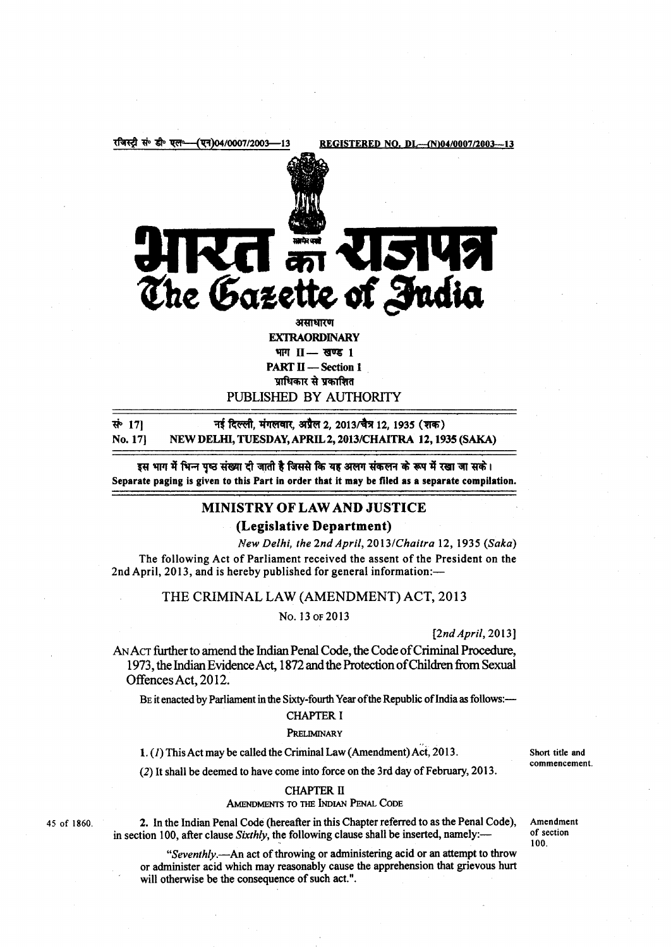

प्राधिकार से प्रकाशित PUBLISHED BY AUTHORITY

सं 17] No.17J <sup>नई दिल्ली, मंगलवार, अप्रैल 2, 2013/चैत्र 12, 1935 (शक)</sup> NEW DELHI, TUESDAY, APRIL2, 2013/CHAITRA 12, 1935 (SAKA)

हस भाग में भिन्न पृष्ठ संख्या दी जाती है जिससे कि यह अलग संकलन के रूप में रखा जा सके। Separate paging is given to this Part in order that it may be filed as a separate compilation.

# MINISTRY OF LAW AND JUSTICE

(Legislative Department)

*New Delhi, the 2nd April, 2013/Chaitra* 12, 1935 *(Saka)* The following Act of Parliament received the assent of the President on the 2nd April, 2013, and is hereby published for general information:-

THE CRIMINAL LAW (AMENDMENT) ACT, 2013

No. 13 OF 2013

*[2nd April,* 2013]

ANACT further to amend the Indian Penal Code, the Code of Criminal Procedure, 1973, the Indian Evidence Act, 1872 and the Protection of Children from Sexual OffencesAct, 2012.

BE it enacted by Parliament in the Sixty-fourth Year of the Republic of India as follows:---

### CHAPTER I

### **PRELIMINARY**

 $1. (1)$  This Act may be called the Criminal Law (Amendment) Act, 2013.

(2) It shall be deemed to have come into force on the 3rd day of February, 2013.

**CHAPTER II** 

AMENDMENTS TO THE INDIAN PENAL CODE

45 of 1860.

2. In the Indian Penal Code (hereafter in this Chapter referred to as the Penal Code), in section 100, after clause *Sixthly*, the following clause shall be inserted, namely:-

"Seventhly.--An act of throwing or administering acid or an attempt to throw or administer acid which may reasonably cause the apprehension that grievous hurt will otherwise be the consequence of such act.".

Short title and commencement.

Amendment of section 100.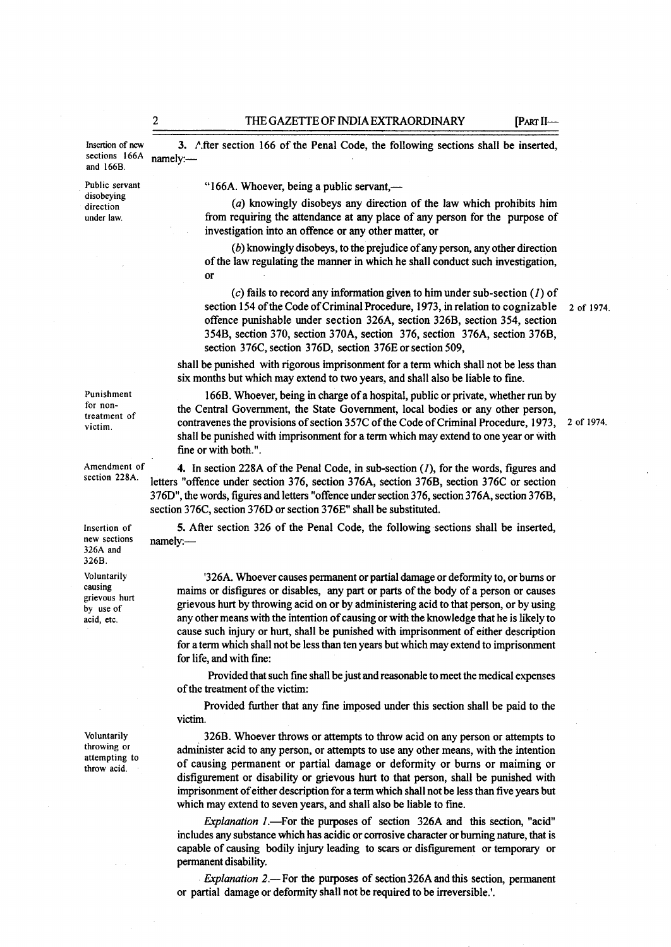Insertion of new 3. After section 166 of the Penal Code, the following sections shall be inserted, sections 166A namely:and 1668.

Public servant disobeying direction under law.

"166A. Whoever, being a public servant,—

(a) knowingly disobeys any direction of the law which prohibits him from requiring the attendance at any place of any person for the purpose of investigation into an offence or any other matter, or

(b) knowingly disobeys, to the prejudice of any person, any other direction of the law regulating the manner in which he shall conduct such investigation, or

(c) fails to record any information given to him under sub-section  $(1)$  of section 154 of the Code of Criminal Procedure, 1973, in relation to cognizable  $2$  of 1974. offence punishable under section 326A, section 326B, section 354, section 354B, section 370, section 370A, section 376, section 376A, section 376B, section 376C, section 376D, section 376E or section 509,

shall be punished with rigorous imprisonment for a term which shall not be less than six months but which may extend to two years, and shall also be liable to fme.

166B. Whoever, being in charge ofa hospital, public or private, whether run by the Central Government, the State Government, local bodies or any other person, contravenes the provisions of section 357C of the Code of Criminal Procedure, 1973, 2 of 1974. shall be punished with imprisonment for a term which may extend to one year or with fine or with both.".

4. In section 228A of the Penal Code, in sub-section  $(1)$ , for the words, figures and letters "offence under section 376, section 376A, section 376B, section 376C or section 3760", the words, figures and letters "offence undersection 376, section 376A, section 376B, section 376C, section 376D or section 376E" shall be substituted.

5. After section 326 of the Penal Code, the following sections shall be inserted, namely:-

'326A. Whoever causes permanent or partial damage or deformity to, or burns or maims or disfigures or disables, any part or parts of the body of a person or causes grievous hurt by throwing acid on or by administering acid to that person, or by using any other means with the intention of causing or with the knowledge that he is likely to cause such injury or hurt, shall be punished with imprisonment of either description for a term which shall not be less than ten years but which may extend to imprisonment for life, and with fme:

Provided that such fine shall be just and reasonable to meet the medical expenses of the treatment of the victim:

Provided further that any fine imposed under this section shall be paid to the victim.

. 326B. Whoever throws or attempts to throw acid on any person or attempts to administer acid to any person, or attempts to use any other means, with the intention of causing permanent or partial damage or deformity or burns or maiming or disfigurement or disability or grievous hurt to that person, shall be punished with imprisonment of either description for a term which shall not be less than five years but which may extend to seven years, and shall also be liable to fme.

*Explanation* 1.—For the purposes of section 326A and this section, "acid" includes any substance which has acidic or corrosive character or burning nature, that is capable of causing bodily injury leading to scars or disfigurement or temporary or permanent disability.

*Explanation* 2.— For the purposes of section 326A and this section, permanent or partial damage or deformity shall not be required to be irreversible.'.

Punishment for nontreatment of victim.

Amendment of section 228A.

Insertion of new sections 326A and 3268.

Voluntarily causing grievous hurt by use of acid, etc.

Voluntarily throwing or attempting to throw acid.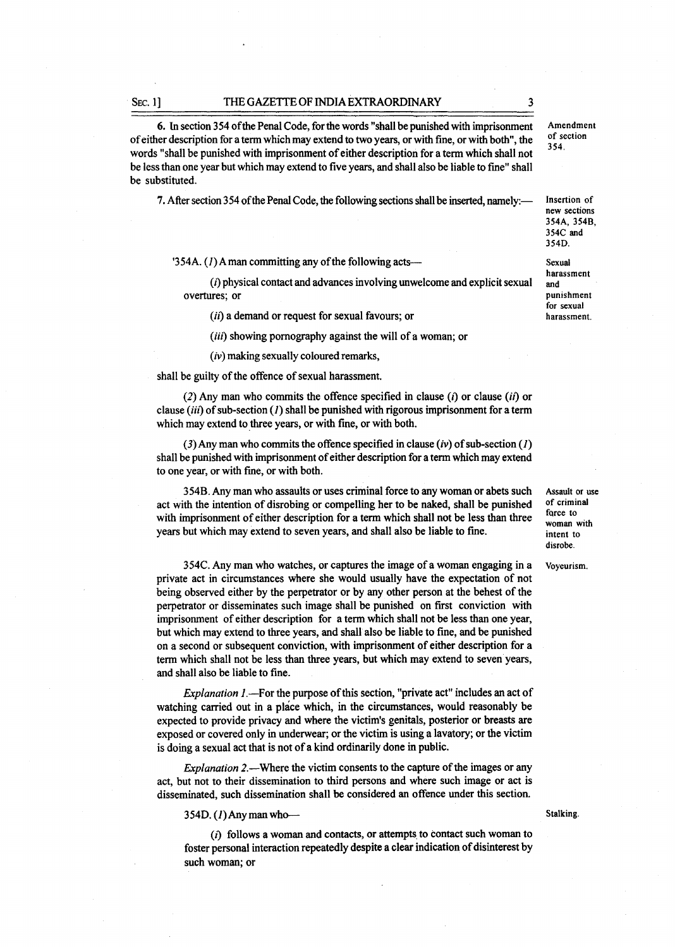### SEC. 1] THE GAZETTE OF INDIA EXTRAORDINARY 3

Amendment of section 354.

6. In section 354 ofthe PenalCode, for the words "shall be punished with imprisonment ofeither description for a tenn which may extend to two years, or with fine, or with both", the words "shall be punished with imprisonment of either description for a term which shall not be lessthan one year but which may extend to five years, and shall also be liable to fme" shall be substituted.

7. After section 354 of the Penal Code, the following sections shall be inserted, namely:—

'354A.  $(1)$  A man committing any of the following acts--

 $(i)$  physical contact and advances involving unwelcome and explicit sexual overtures; or

 $(ii)$  a demand or request for sexual favours; or

(iii) showing pornography against the will of a woman; or

 $(iv)$  making sexually coloured remarks,

shall be guilty of the offence of sexual harassment.

(2) Any man who commits the offence specified in clause (i) or clause (ii) or clause (*iii*) of sub-section  $(1)$  shall be punished with rigorous imprisonment for a term which may extend to three years, or with fine, or with both.

(3) Any man who commits the offence specified in clause (iv) of sub-section (1) shall be punished with imprisonment of either description for a term which may extend to one year, or with fme, or with both.

354B. Any man who assaults or uses criminal force to any woman or abets such act with the intention of disrobing or compelling her to be naked, shall be punished with imprisonment of either description for a term which shall not be less than three years but which may extend to seven years, and shall also be liable to fme.

354C. Any man who watches, or captures the image of a woman engaging in a private act in circumstances where she would usually have the expectation of not being observed either by the perpetrator or by any other person at the behest of the perpetrator or disseminates such image shall be punished on first conviction with imprisonment of either description for a tenn which shall not be less than one year, but which may extend to three years, and shall also be liable to fine, and be punished on a second or subsequent conviction, with imprisonment of either description for a tenn which shall not be less than three years, but which may extend to seven years, and shall also be liable to fine.

*Explanation 1.*—For the purpose of this section, "private act" includes an act of watching carried out in a place which, in the circumstances, would reasonably be expected to provide privacy and where the victim's genitals, posterior or breasts are exposed or covered only in underwear; or the victim is using a lavatory; or the victim is doing a sexual act that is not of a kind ordinarily done in public.

*Explanation* 2.—Where the victim consents to the capture of the images or any act, but not to their dissemination to third persons and where such image or act is disseminated, such dissemination shall be considered an offence under this section.

 $354D$ . (1) Any man who--

 $(i)$  follows a woman and contacts, or attempts to contact such woman to foster personal interaction repeatedly despite a clear indication of disinterest by such woman; or

354C and 354D. Sexual harassment and

punishment for sexual harassment.

Insertion of new sections 354A,354B,

Assault or use of criminal force to woman with intent to disrobe.

Voyeurism.

Stalking.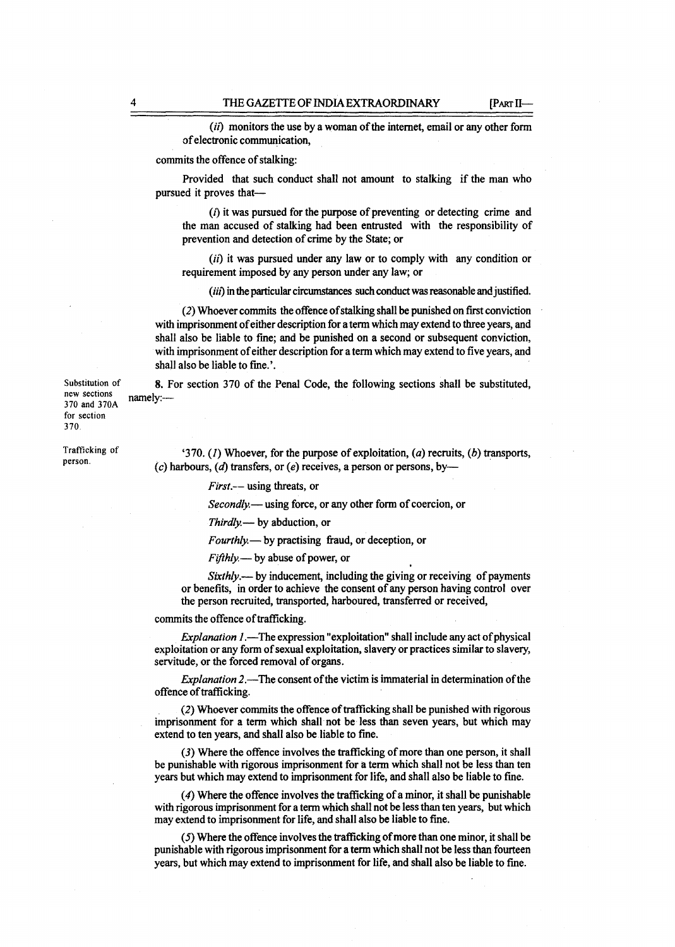$(ii)$  monitors the use by a woman of the internet, email or any other form ofelectronic communication,

commits the offence of stalking:

Provided that such conduct shall not amount to stalking if the man who pursued it proves that-

 $(i)$  it was pursued for the purpose of preventing or detecting crime and the man accused of stalking had been entrusted with the responsibility of prevention and detection of crime by the State; or

(*ii*) it was pursued under any law or to comply with any condition or requirement imposed by any person under any law; or

 $(iii)$  in the particular circumstances such conduct was reasonable and justified.

(2) Whoever commits the offence ofstalking shall be punished on first conviction with imprisonment of either description for a term which may extend to three years, and shall also be liable to fme; and be punished on a second or subsequent conviction, with imprisonment of either description for a term which may extend to five years, and shall also be liable to fine.'.

8. For section 370 of the Penal Code, the following sections shall be substituted, namely:-

new sections 370 and 370A for section 370.

Substitution of

Trafficking of person.

'370. *(I)* Whoever, for the purpose of exploitation, (a) recruits, (b) transports,  $(c)$  harbours,  $(d)$  transfers, or  $(e)$  receives, a person or persons, by-

### *First.--* using threats, or

*Secondly.*— using force, or any other form of coercion, or

*Thirdly.* - by abduction, or

*Fourthly*.— by practising fraud, or deception, or

*Fifthly.*— by abuse of power, or

*Sixthly.*- by inducement, including the giving or receiving of payments or benefits, in order to achieve the consent of any person having control over the person recruited, transported, harboured, transferred or received,

### commits the offence of trafficking.

*Explanation 1*.—The expression "exploitation" shall include any act of physical exploitation or any form of sexual exploitation, slavery or practices similar to slavery, servitude, or the forced removal of organs.

*Explanation* 2.—The consent of the victim is immaterial in determination of the offence of trafficking.

(2) Whoever commits the offence of trafficking shall be punished with rigorous imprisonment for a term which shall not be less than seven years, but which may extend to ten years, and shall also be liable to fme.

(3) Where the offence involves the trafficking of more than one person, it shall be punishable with rigorous imprisonment for a term which shall not be less than ten years but which may extend to imprisonment for life, and shall also be liable to fme.

(4) Where the offence involves the trafficking ofa minor, it shall be punishable with rigorous imprisonment for a term which shall not be less than ten years, but which may extend to imprisonment for life, and shall also be liable to fine.

 $(5)$  Where the offence involves the trafficking of more than one minor, it shall be punishable with rigorous imprisonment for a term which shall not be less than fourteen years, but which may extend to imprisonment for life, and shall also be liable to fine.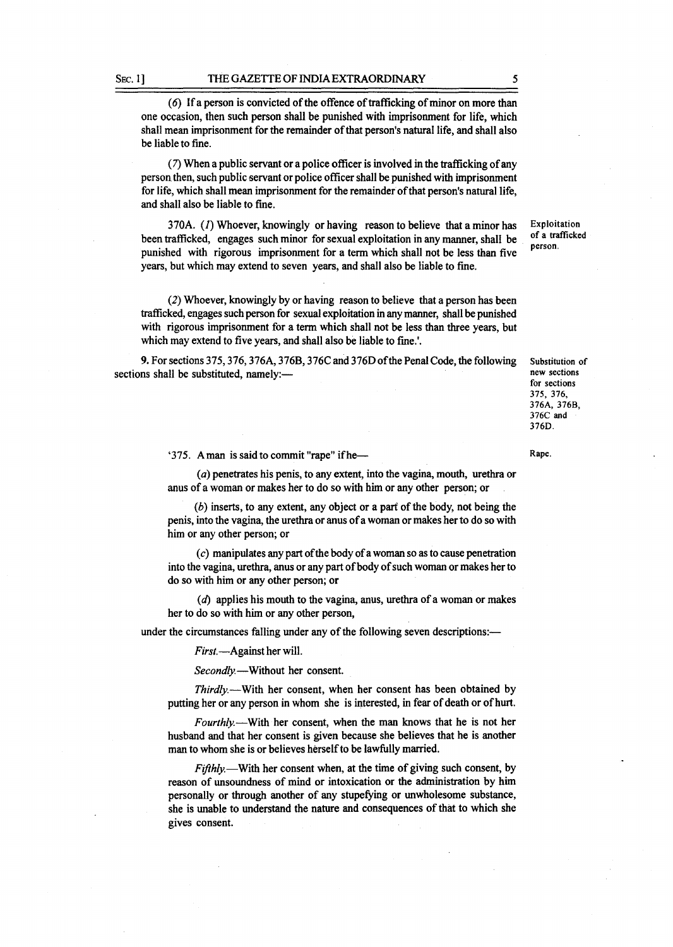$(6)$  If a person is convicted of the offence of trafficking of minor on more than one occasion, then such person shall be punished with imprisonment for life, which shall mean imprisonment for the remainder of that person's natural life, and shall also be liable to fme.

(7) When a public servant or a police officer is involved in the trafficking ofany person then, such public servant or police officershall be punished with imprisonment for life, which shall mean imprisonment for the remainder of that person's natural life, and shall also be liable to fme.

370A. (1) Whoever, knowingly or having reason to believe that a minor has been trafficked, engages such minor for sexual exploitation in any manner, shall be punished with rigorous imprisonment for a term which shall not be less than five years, but which may extend to seven years, and shall also be liable to fme.

(2) Whoever, knowingly by or having reason to believe that a person has been trafficked, engages such person for sexual exploitation in anymanner, shall be punished with rigorous imprisonment for a term which shall not be less than three years, but which may extend to five years, and shall also be liable to fme.'.

9. Forsections 375, 376, 376A, 376B, 376Cand 376D ofthe Penal Code, the following sections shall be substituted, namely:-

'375. Aman is said to commit "rape" ifhe-

 $(a)$  penetrates his penis, to any extent, into the vagina, mouth, urethra or anus of a woman or makes her to do so with him or any other person; or

 $(b)$  inserts, to any extent, any object or a part of the body, not being the penis, into the vagina, the urethra or anus of a woman or makes her to do so with him or any other person; or

 $(c)$  manipulates any part of the body of a woman so as to cause penetration into the vagina, urethra, anus or any part of body of such woman or makes her to do so with him or any other person; or

(d) applies his mouth to the vagina, anus, urethra of a woman or makes her to do so with him or any other person,

under the circumstances falling under any of the following seven descriptions:—

*First.*-Against her will.

*Secondly.*-Without her consent.

*Thirdly.-With* her consent, when her consent has been obtained by putting her or any person in whom she is interested, in fear of death or of hurt.

*Fourthly.-With* her consent, when the man knows that he is not her husband and that her consent is given because she believes that he is another man to whom she is or believes herself to be lawfully married.

*Fifthly.*—With her consent when, at the time of giving such consent, by reason of unsoundness of mind or intoxication or the administration by him personally or through another of any stupefying or unwholesome substance, she is unable to understand the nature and consequences of that to which she gives consent.

Exploitation of a trafficked person.

375, 376, 376A,3768, 376C and 376D.

Substitution of new sections for sections

Rape.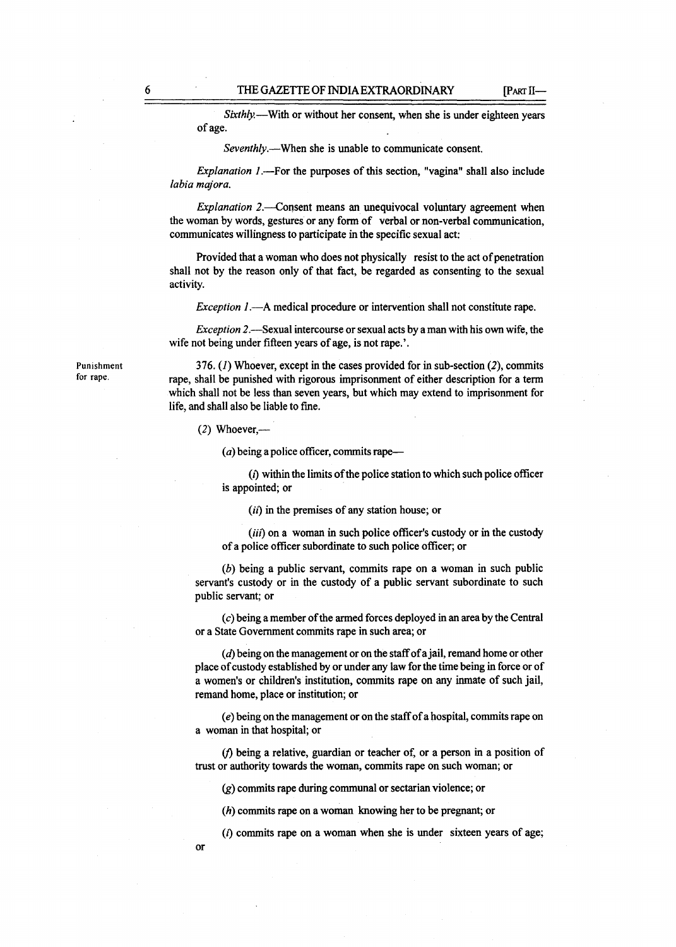*Sixthly*.—With or without her consent, when she is under eighteen years of age.

*Seventhly.-When* she is unable to communicate consent.

*Explanation* 1.—For the purposes of this section, "vagina" shall also include *labia majora.*

*Explanation* 2.—Consent means an unequivocal voluntary agreement when the woman by words, gestures or any form of verbal or non-verbal communication, communicates willingness to participate in the specific sexual act:

Provided that a woman who does not physically resist to the act of penetration shall not by the reason only of that fact, be regarded as consenting to the sexual activity.

*Exception I.-A* medical procedure or intervention shall not constitute rape.

*Exception* 2.—Sexual intercourse or sexual acts by a man with his own wife, the wife not being under fifteen years of age, is not rape.'.

Punishment for rape.

376. (1) Whoever, except in the cases provided for in sub-section (2), commits rape, shall be punished with rigorous imprisonment of either description for a term which shall not be less than seven years, but which may extend to imprisonment for life, and shall also be liable to fme.

 $(2)$  Whoever,—

 $(a)$  being a police officer, commits rape--

 $(i)$  within the limits of the police station to which such police officer is appointed; or

 $(ii)$  in the premises of any station house; or

(*iii*) on a woman in such police officer's custody or in the custody of a police officer subordinate to such police officer; or

(b) being a public servant, commits rape on a woman in such public servant's custody or in the custody of a public servant subordinate to such public servant; or

 $(c)$  being a member of the armed forces deployed in an area by the Central or a State Government commits rape in such area; or

 $(d)$  being on the management or on the staff of a jail, remand home or other place of custody established by or under any law for the time being in force or of a women's or children's' institution, commits rape on any inmate of such jail, remand home, place or institution; or

(e) being on the management or on the staffofa hospital, commitsrape on a woman in that hospital; or

(f) being a relative, guardian or teacher of, or a person in a position of trust or authority towards the woman, commits rape on such woman; or

 $(g)$  commits rape during communal or sectarian violence; or

(h) commits rape on a woman knowing her to be pregnant; or

- $(i)$  commits rape on a woman when she is under sixteen years of age;
- or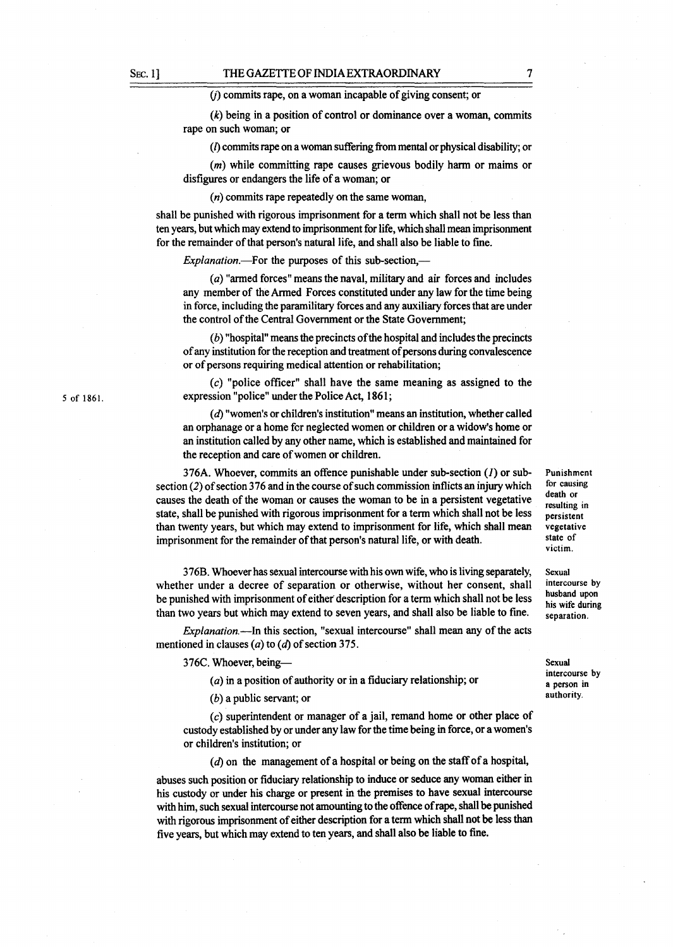$(j)$  commits rape, on a woman incapable of giving consent; or

 $(k)$  being in a position of control or dominance over a woman, commits rape on such woman; or

 $(1)$  commits rape on a woman suffering from mental or physical disability; or

(m) while committing rape causes grievous bodily harm or maims or disfigures or endangers the life of a woman; or

 $(n)$  commits rape repeatedly on the same woman,

shall be punished with rigorous imprisonment for a term which shall not be less than ten years, but which may extend to imprisonment for life, which shall mean imprisonment for the remainder of that person's natural life, and shall also be liable to fine.

*Explanation.*—For the purposes of this sub-section,—

(a) "armed forces" means the naval, military and air forces and includes any member of the Armed Forces constituted under any law for the time being in force, including the paramilitary forces and any auxiliary forcesthat are under the control of the Central Government or the State Government;

 $(b)$  "hospital" means the precincts of the hospital and includes the precincts of any institution for the reception and treatment of persons during convalescence or of persons requiring medical attention or rehabilitation;

(c) "police officer" shall have the same meaning as assigned to the expression "police" under the Police Act, 1861;

 $(d)$  "women's or children's institution" means an institution, whether called an orphanage or a home fer neglected women or children or a widow's home or an institution called by any other name, which is established and maintained for the reception and care of women or children.

376A. Whoever, commits an offence punishable under sub-section (1) or subsection  $(2)$  of section 376 and in the course of such commission inflicts an injury which causes the death of the woman or causes the woman to be in a persistent vegetative state, shall be punished with rigorous imprisonment for a term which shall not be less than twenty years, but which may extend to imprisonment for life, which shall mean imprisonment for the remainder of that person's natural life, or with death.

376B. Whoever has sexual intercourse with his own wife, who is living separately, whether under a decree of separation or otherwise, without her consent, shall be punished with imprisonment of either description for a term which shall not be less than two years but which may extend to seven years, and shall also be liable to fme.

*Explanation.*-In this section, "sexual intercourse" shall mean any of the acts mentioned in clauses (a) to (d) of section 375.

376C. Whoever, being-

 $(a)$  in a position of authority or in a fiduciary relationship; or

(b) a public servant; or

(c) superintendent or manager of a jail, remand home or other place of custody established by or under any law for the time being in force, or awomen's or children's institution; or

 $(d)$  on the management of a hospital or being on the staff of a hospital,

abuses such position or fiduciary relationship to induce or seduce any woman either in his custody or under his charge or present in the premises to have sexual intercourse with him, such sexual intercourse not amounting to the offence of rape, shall be punished with rigorous imprisonment of either description for a term which shall not be less than five years, but which may extend to ten years, and shall also be liable to fine.

Punishment for causing death or resulting in persistent vegetative state of victim.

Sexual intercourse by husband upon his wife during separation.

Sexual intercourse by a person in authority.

5 of 1861.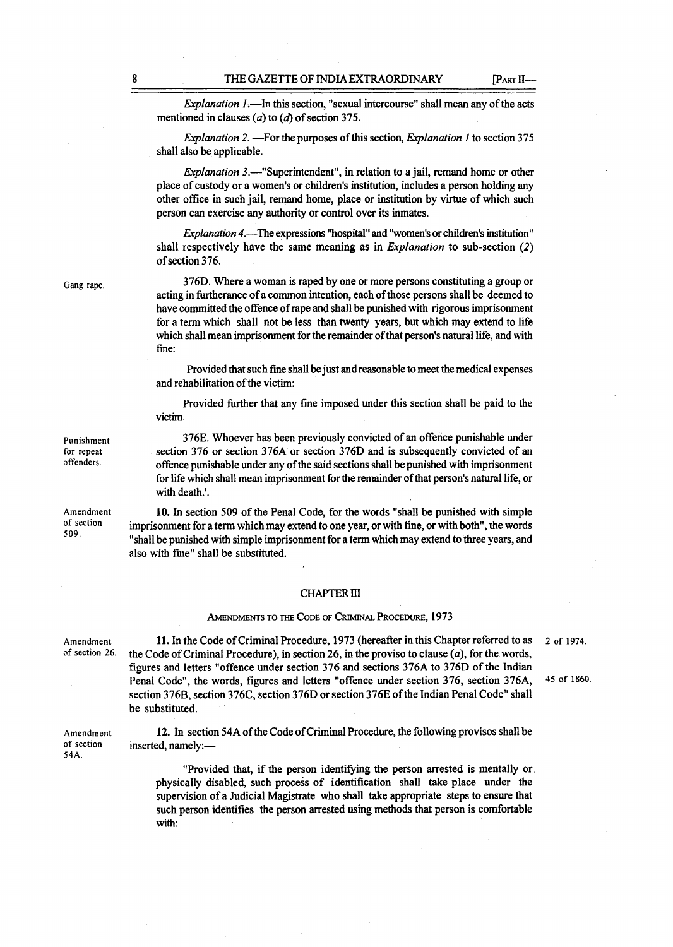*Explanation 1*.—In this section, "sexual intercourse" shall mean any of the acts mentioned in clauses (a) to (d) of section 375.

*Explanation* 2. - For the purposes of this section, *Explanation* 1 to section 375 shall also be applicable.

*Explanation* 3.—"Superintendent", in relation to a jail, remand home or other place ofcustody or a women's or children's institution, includes a person holding any other office in such jail, remand home, place or institution by virtue of which such person can exercise any authority or control over its inmates.

*Explanation* 4.—The expressions "hospital" and "women's or children's institution" shall respectively have the same meaning as in *Explanation* to sub-section (2) of section 376.

3760. Where a woman is raped by one or more persons constituting a group or acting in furtherance of a common intention, each of those persons shall be deemed to have committed the offence ofrape and shall be punished with rigorous imprisonment for a term which shall not be less than twenty years, but which may extend to life which shall mean imprisonment for the remainder of that person's natural life, and with fine:

Provided that such fine shall be just and reasonable to meet the medical expenses and rehabilitation of the victim:

Provided further that any fine imposed under this section shall be paid to the victim.

376E. Whoever has been previously convicted of an offence punishable under section 376 or section *376A* or section 3760 and is subsequently convicted of an offence punishable under any ofthe said sectionsshall be punished with imprisonment for life which shall mean imprisonment for the remainder of that person's natural life, or with death.'.

10. In section 509 of the Penal Code, for the words "shall be punished with simple imprisonment for a term which may extend to one year, or with fine, or with both", the words "shall be punished with simple imprisonment for a term which may extend to three years, and also with fme" shall be substituted.

### CHAPTERIII

### AMENDMENTS TO THE CODE OF CRIMINAL PROCEDURE, 1973

Amendment 11. In the Code of Criminal Procedure, 1973 (hereafter in this Chapter referred to as 2 of 1974. of section 26. the Code of Criminal Procedure), in section 26, in the proviso to clause (a), for the words, figures and letters "offence under section 376 and sections *376A* to 3760 ofthe Indian Penal Code", the words, figures and letters "offence under section 376, section *376A,* 45 of 1860.

section 376B, section 376C, section 3760 orsection 376E ofthe Indian Penal Code" shall be substituted. 12. In section 54A of the Code of Criminal Procedure, the following provisos shall be

Amendment of section 54A.

inserted, namely:-

"Provided that, if the person identifying the person arrested is mentally or. physically disabled, such process of identification shall take place under the supervision of a Judicial Magistrate who shall take appropriate steps to ensure that such person identifies the person arrested using methods that person is comfortable with:

Gang rape.

Punishment for repeat offenders.

Amendment of section

509.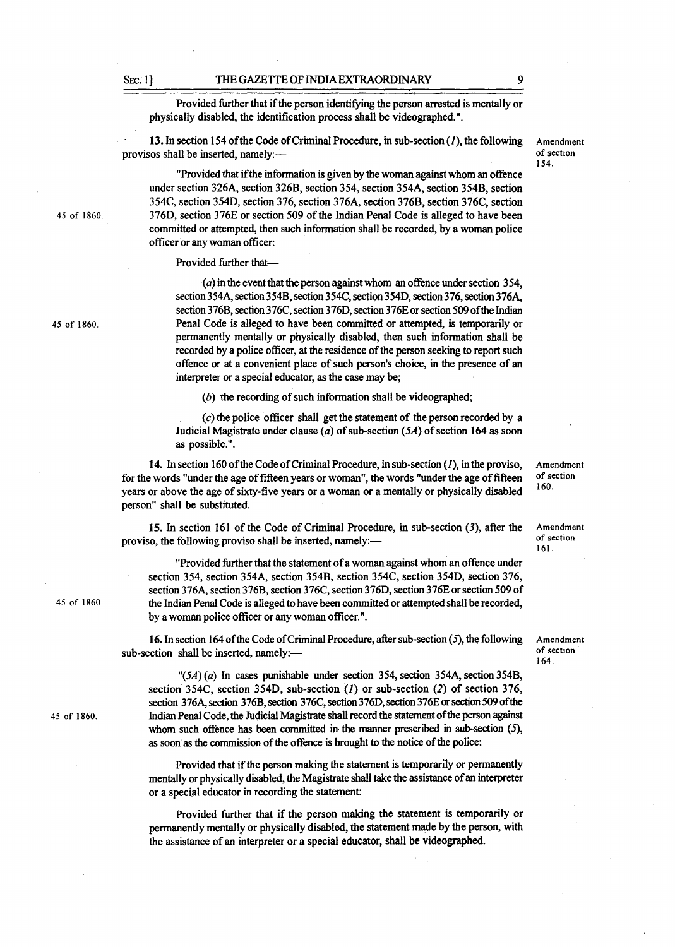Provided further that if the person identifying the person arrested is mentally or physically disabled, the identification process shall be videographed.".

13. In section 154 of the Code of Criminal Procedure, in sub-section  $(1)$ , the following provisos shall be inserted, namely:-

Amendment of section 154.

"Provided that ifthe information is given by the woman against whom an offence under section 326A, section 326B, section 354, section 354A, section 354B, section 354C, section 354D, section 376, section 376A, section 376B, section 376C, section 376D, section 376E or section 509 of the Indian Penal Code is alleged to have been committed or attempted, then such information shall be recorded, by a woman police officer or any woman officer:

Provided further that-

 $\epsilon$  (*a*) in the event that the person against whom an offence under section 354, section 354A, section 354B, section 354C, section 354D, section 376, section 376A, section 376B, section 376C, section 376D, section 376E or section 509 of the Indian Penal Code is alleged to have been committed or attempted, is temporarily or permanently mentally or physically disabled, then such information shall be recorded by a police officer, at the residence of the person seeking to report such offence or at a convenient place of such person's choice, in the presence of an interpreter or a special educator, as the case may be;

 $(b)$  the recording of such information shall be videographed;

(c) the police officer shall get the statement of the person recorded by a Judicial Magistrate under clause (a) of sub-section (5A) of section 164 as soon as possible.".

14. In section 160 of the Code of Criminal Procedure, in sub-section  $(1)$ , in the proviso, for the words "under the age of fifteen years or woman", the words "under the age of fifteen years or above the age of sixty-five years or a woman or a mentally or physically disabled person" shall be substituted.

15. In section 161 of the Code of Criminal Procedure, in sub-section  $(3)$ , after the proviso, the following proviso shall be inserted, namely:-

"Provided further that the statement of a woman against whom an offence under section 354, section 354A, section 354B, section 354C, section 3540, section 376, section 376A, section 376B, section 376C, section 376D, section 376E or section 509 of the Indian Penal Code is alleged to have been committed or attempted shall be recorded, by a woman police officer or any woman officer.".

16. In section 164 of the Code of Criminal Procedure, after sub-section  $(5)$ , the following sub-section shall be inserted, namely:-

 $\Gamma(5A)$  (a) In cases punishable under section 354, section 354A, section 354B, section  $354C$ , section  $354D$ , sub-section (1) or sub-section (2) of section 376, section 376A, section 376B, section 376C, section 376D, section 376E or section 509 of the Indian Penal Code, the Judicial Magistrate shall record the statement of the person against whom such offence has been committed in the manner prescribed in sub-section (5), as soon as the commission of the offence is brought to the notice of the police:

Provided that if the person making the statement is temporarily or permanently mentally or physically disabled, the Magistrate shall take the assistance of an interpreter or a special educator in recording the statement:

Provided further that if the person making the statement is temporarily or permanently mentally or physically disabled, the statement made by the person, with the assistance of an interpreter or a special educator, shall be videographed.

45 of 1860.

45 of 1860.

45 of 1860.

45 of 1860.

Amendment of section 160.

Amendment of section 161.

Amendment of section 164.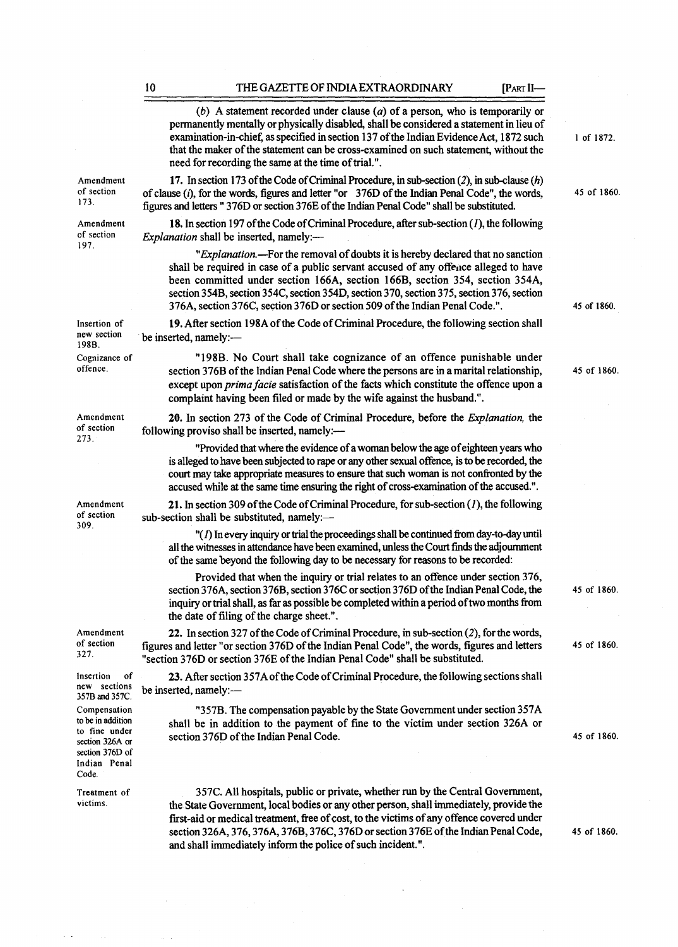### 10 THE GAZETTE OF INDIA EXTRAORDINARY [PART II-

Amendment of section 173. Amendment of section 197. Insertion of new section 198B. Cognizance of offence. Amendment of section 273. Amendment of section 309. Amendment of section 327. Insertion of new sections 357B and 357C. Compensation to be in addition to fine under section 326A or section 376D of Indian Penal Code. Treatment of victims. (b) A statement recorded under clause  $(a)$  of a person, who is temporarily or permanently mentally or physically disabled, shall be considered a statement in lieu of examination-in-chief, as specified in section 137 of the Indian Evidence Act, 1872 such that the maker of the statement can be cross-examined on such statement, without the need for recording the same at the time of trial.". 17. In section 173 of the Code of Criminal Procedure, in sub-section  $(2)$ , in sub-clause  $(h)$ of clause  $(i)$ , for the words, figures and letter "or  $376D$  of the Indian Penal Code", the words, figures and letters "376D or section 376E of the Indian Penal Code" shall be substituted. 18. In section 197 of the Code of Criminal Procedure, after sub-section  $(1)$ , the following *Explanation* shall be inserted, namely:-*"Explanation*.—For the removal of doubts it is hereby declared that no sanction shall be required in case of a public servant accused of any offence alleged to have been committed under section 166A, section 166B, section 354, section 354A, section 354B, section 354C, section 354D, section 370, section 375, section 376, section 376A, section 376C, section 3760 orsection 509 ofthe Indian Penal Code.". 19. After section 198A of the Code of Criminal Procedure, the following section shall be inserted, namely:-"198B. No Court shall take cognizance of an offence punishable under section 376B of the Indian Penal Code where the persons are in a marital relationship, except upon *prima facie* satisfaction of the facts which constitute the offence upon a complaint having been filed or made by the wife against the husband.". 20. In section 273 of the Code of Criminal Procedure, before the *Explanation,* the following proviso shall be inserted, namely:-"Provided that where the evidence of a woman below the age of eighteen years who is alleged to have been subjected to rape or any other sexual offence, is to be recorded, the court may take appropriate measures to ensure that such woman is not confronted by the accused while at the same time ensuring the right of cross-examination of the accused.". 21. In section 309 of the Code of Criminal Procedure, for sub-section  $(1)$ , the following sub-section shall be substituted, namely:-  $''(1)$  In every inquiry or trial the proceedings shall be continued from day-to-day until all the witnesses in attendance have been examined, unless the Court finds the adjournment of the same beyond the following day to be necessary for reasons to be recorded: Provided that when the inquiry or trial relates to an offence under section 376, section 376A, section 376B, section 376C or section 376D of the Indian Penal Code, the inquiry ortrialshall, as far as possible be completedwithin a period oftwo months from the date of filing of the charge sheet.". 22. In section 327 of the Code of Criminal Procedure, in sub-section (2), for the words, figures and letter "or section 376D of the Indian Penal Code", the words, figures and letters "section 376D or section 376E of the Indian Penal Code" shall be substituted. 23. After section 357A of the Code of Criminal Procedure, the following sections shall be inserted, namely:-"357B. The compensation payable by the State Government under section 357A shall be in addition to the payment of fme to the victim under section 326A or section 376D of the Indian Penal Code. 357C. All hospitals, public or private, whether run by the Central Government, the State Government, local bodies or any other person, shall immediately, provide the first-aid or medical treatment, free of cost, to the victims of any offence covered under section 326A, 376, 376A, 376B, 376C, 376D or section 376E of the Indian Penal Code, and shall immediately inform the police of such incident.". 1 of 1872. 45 of 1860. 45 of 1860. 45 of 1860. 45 of 1860. 45 of 1860. 45 of 1860. 45 of 1860.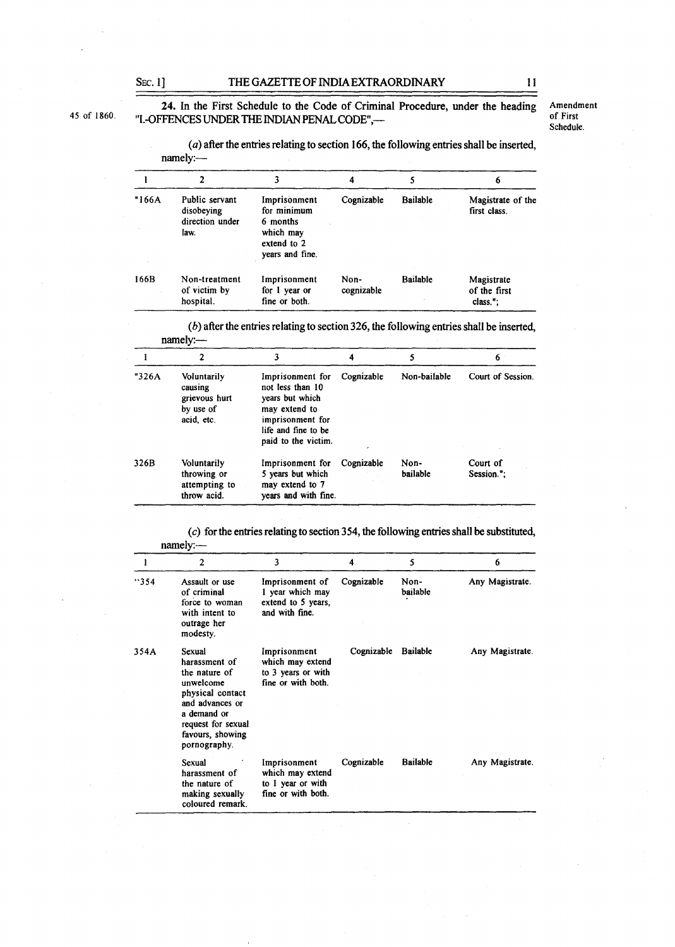45 of 1860.

24. In the First Schedule to the Code of Criminal Procedure, under the heading "I.-OFFENCES UNDER THE INDIAN PENAL CODE",-

Amendment of First Schedule.

 $(a)$  after the entries relating to section 166, the following entries shall be inserted, namely:----

|       | 2                                                       |                                                                                        |                    |                 | 6                                      |
|-------|---------------------------------------------------------|----------------------------------------------------------------------------------------|--------------------|-----------------|----------------------------------------|
| "166A | Public servant<br>disobeying<br>direction under<br>law. | Imprisonment<br>for minimum<br>6 months<br>which may<br>extend to 2<br>years and fine. | Cognizable         | Bailable        | Magistrate of the<br>first class.      |
| 166B  | Non-treatment<br>of victim by<br>hospital.              | Imprisonment<br>for 1 year or<br>fine or both.                                         | Non-<br>cognizable | <b>Bailable</b> | Magistrate<br>of the first<br>class."; |

 $(b)$  after the entries relating to section 326, the following entries shall be inserted, namely:-

|       | 2                                                                  | 3                                                                                                                                          |                 | 5                | 6                      |
|-------|--------------------------------------------------------------------|--------------------------------------------------------------------------------------------------------------------------------------------|-----------------|------------------|------------------------|
| "326A | Voluntarily<br>causing<br>grievous hurt<br>by use of<br>acid, etc. | Imprisonment for<br>not less than 10<br>years but which<br>may extend to<br>imprisonment for<br>life and fine to be<br>paid to the victim. | Cognizable<br>٠ | Non-bailable     | Court of Session.      |
| 326B  | Voluntarily<br>throwing or<br>attempting to<br>throw acid.         | Imprisonment for<br>5 years but which<br>may extend to 7<br>vears and with fine.                                                           | Cognizable      | Non-<br>bailable | Court of<br>Session.": |

 $(c)$  for the entries relating to section 354, the following entries shall be substituted, namely:-

|       | $\overline{2}$                                                                                                                                                        | 3                                                                            | 4          | 5                | 6               |
|-------|-----------------------------------------------------------------------------------------------------------------------------------------------------------------------|------------------------------------------------------------------------------|------------|------------------|-----------------|
| "354" | Assault or use<br>of criminal<br>force to woman<br>with intent to<br>outrage her<br>modesty.                                                                          | Imprisonment of<br>1 year which may<br>extend to 5 years,<br>and with fine.  | Cognizable | Non-<br>bailable | Any Magistrate. |
| 354A  | Sexual<br>harassment of<br>the nature of<br>unwelcome<br>physical contact<br>and advances or<br>a demand or<br>request for sexual<br>favours, showing<br>pornography. | Imprisonment<br>which may extend<br>to 3 years or with<br>fine or with both. | Cognizable | Bailable         | Any Magistrate. |
|       | Sexual<br>harassment of<br>the nature of<br>making sexually<br>coloured remark.                                                                                       | Imprisonment<br>which may extend<br>to I year or with<br>fine or with both.  | Cognizable | <b>Bailable</b>  | Any Magistrate. |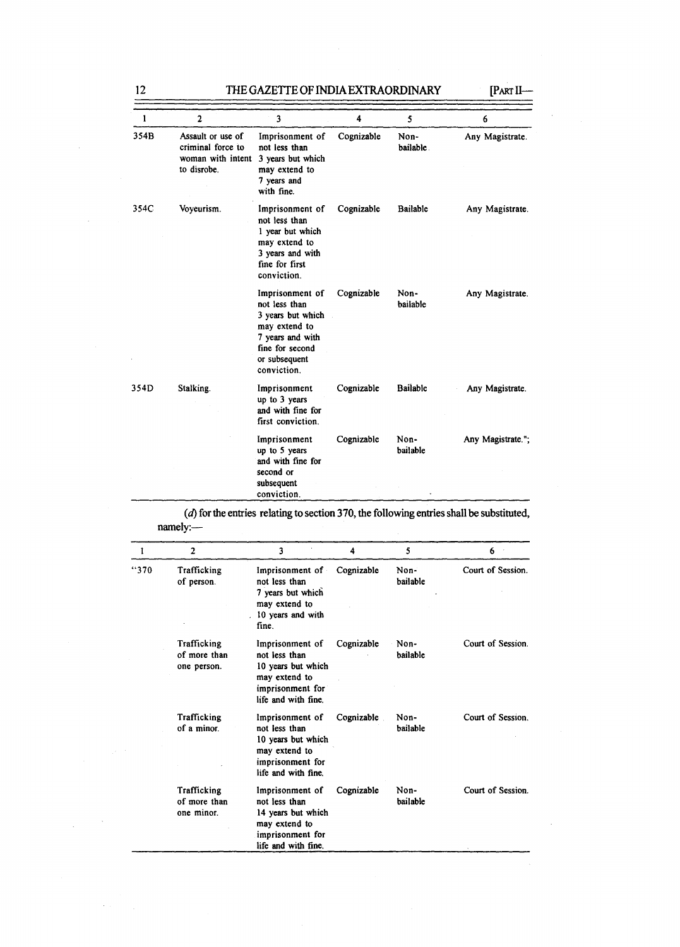| THE GAZETTE OF INDIA EXTRAORDINARY | [PART II] |
|------------------------------------|-----------|

 $\bar{\bar{z}}$ 

 $\overline{\phantom{a}}$ 

|      | $\overline{2}$                                                             | 3                                                                                                                                             | 4          | $\overline{S}$    | 6                 |
|------|----------------------------------------------------------------------------|-----------------------------------------------------------------------------------------------------------------------------------------------|------------|-------------------|-------------------|
| 354B | Assault or use of<br>criminal force to<br>woman with intent<br>to disrobe. | Imprisonment of<br>not less than<br>3 years but which<br>may extend to<br>7 years and<br>with fine.                                           | Cognizable | Non-<br>bailable. | Any Magistrate.   |
| 354C | Voyeurism.                                                                 | Imprisonment of<br>not less than<br>1 year but which<br>may extend to<br>3 years and with<br>fine for first<br>conviction.                    | Cognizable | <b>Bailable</b>   | Any Magistrate.   |
|      |                                                                            | Imprisonment of<br>not less than<br>3 years but which<br>may extend to<br>7 years and with<br>fine for second<br>or subsequent<br>conviction. | Cognizable | Non-<br>bailable  | Any Magistrate.   |
| 354D | Stalking.                                                                  | Imprisonment<br>up to 3 years<br>and with fine for<br>first conviction.                                                                       | Cognizable | Bailable          | Any Magistrate.   |
|      |                                                                            | Imprisonment<br>up to 5 years<br>and with fine for<br>second or<br>subsequent<br>conviction.                                                  | Cognizable | Non-<br>bailable  | Any Magistrate."; |

 $(d)$  for the entries relating to section 370, the following entries shall be substituted, namely:-

|      | $\mathbf{2}$                               | 3                                                                                                                  | 4          | 5                | 6                 |
|------|--------------------------------------------|--------------------------------------------------------------------------------------------------------------------|------------|------------------|-------------------|
| "370 | Trafficking<br>of person.                  | Imprisonment of<br>not less than<br>7 years but which<br>may extend to<br>10 years and with<br>fine.               | Cognizable | Non-<br>bailable | Court of Session. |
|      | Trafficking<br>of more than<br>one person. | Imprisonment of<br>not less than<br>10 years but which<br>may extend to<br>imprisonment for<br>life and with fine. | Cognizable | Non-<br>bailable | Court of Session. |
|      | Trafficking<br>of a minor.                 | Imprisonment of<br>not less than<br>10 years but which<br>may extend to<br>imprisonment for<br>life and with fine. | Cognizable | Non-<br>bailable | Court of Session. |
|      | Trafficking<br>of more than<br>one minor.  | Imprisonment of<br>not less than<br>14 years but which<br>may extend to<br>imprisonment for<br>life and with fine. | Cognizable | Non-<br>bailable | Court of Session. |

J.

 $\overline{a}$ 

 $\mathcal{L}^{\text{max}}$ 

 $\mathcal{O}(\mathcal{O}(\log n))$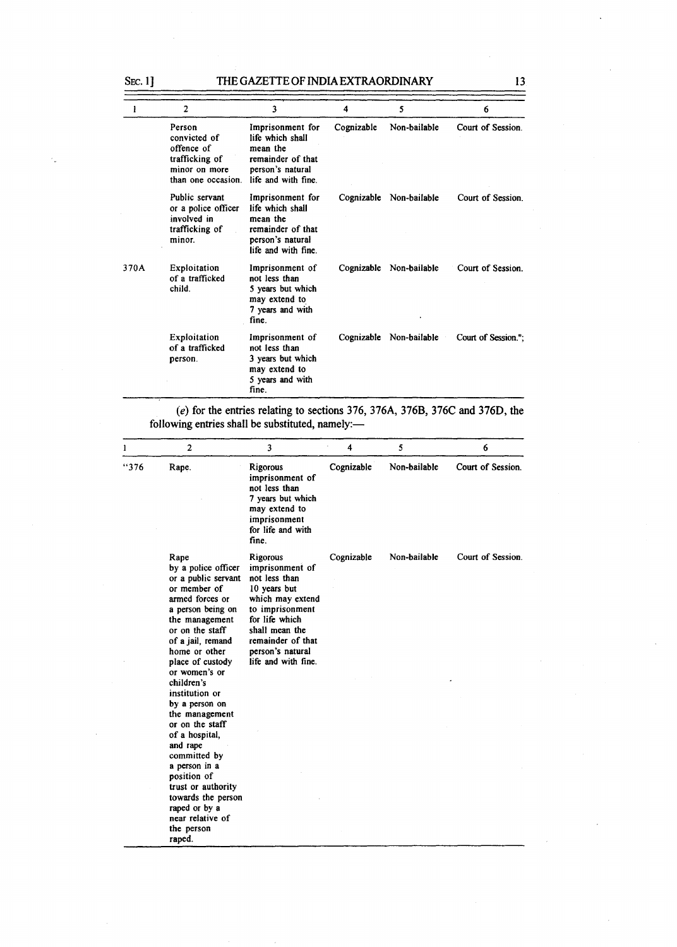# SEC. 1] THE GAZETTE OF INDIA EXTRAORDINARY 13

|      | $\overline{2}$                                                                                | 3                                                                                                                | 4          | 5                       | 6                   |
|------|-----------------------------------------------------------------------------------------------|------------------------------------------------------------------------------------------------------------------|------------|-------------------------|---------------------|
|      | Person<br>convicted of<br>offence of<br>trafficking of<br>minor on more<br>than one occasion. | Imprisonment for<br>life which shall<br>mean the<br>remainder of that<br>person's natural<br>life and with fine. | Cognizable | Non-bailable            | Court of Session.   |
|      | Public servant<br>or a police officer<br>involved in<br>trafficking of<br>minor.              | Imprisonment for<br>life which shall<br>mean the<br>remainder of that<br>person's natural<br>life and with fine. |            | Cognizable Non-bailable | Court of Session.   |
| 370A | Exploitation<br>of a trafficked<br>child.                                                     | Imprisonment of<br>not less than<br>5 years but which<br>may extend to<br>7 years and with<br>fine.              |            | Cognizable Non-bailable | Court of Session.   |
|      | Exploitation<br>of a trafficked<br>person.                                                    | Imprisonment of<br>not less than<br>3 years but which<br>may extend to<br>5 years and with<br>fine.              | Cognizable | Non-bailable            | Court of Session.": |

(e) for the entries relating to sections 376, 376A, 376B, 376C and 376D, the following entries shall be substituted, namely:-

| 1     | 2                                                                                                                                                                                                                                                                                                                                                                                                                                                                                                        | 3                                                                                                                                                                                                       | 4          | 5            | 6                 |
|-------|----------------------------------------------------------------------------------------------------------------------------------------------------------------------------------------------------------------------------------------------------------------------------------------------------------------------------------------------------------------------------------------------------------------------------------------------------------------------------------------------------------|---------------------------------------------------------------------------------------------------------------------------------------------------------------------------------------------------------|------------|--------------|-------------------|
| "376" | Rape.                                                                                                                                                                                                                                                                                                                                                                                                                                                                                                    | <b>Rigorous</b><br>imprisonment of<br>not less than<br>7 years but which<br>may extend to<br>imprisonment<br>for life and with<br>fine.                                                                 | Cognizable | Non-bailable | Court of Session. |
|       | Rape<br>by a police officer<br>or a public servant<br>or member of<br>armed forces or<br>a person being on<br>the management<br>or on the staff<br>of a jail, remand<br>home or other<br>place of custody<br>or women's or<br>children's<br>institution or<br>by a person on<br>the management<br>or on the staff<br>of a hospital,<br>and rape<br>committed by<br>a person in a<br>position of<br>trust or authority<br>towards the person<br>raped or by a<br>near relative of<br>the person<br>raped. | Rigorous<br>imprisonment of<br>not less than<br>10 years but<br>which may extend<br>to imprisonment<br>for life which<br>shall mean the<br>remainder of that<br>person's natural<br>life and with fine. | Cognizable | Non-bailable | Court of Session. |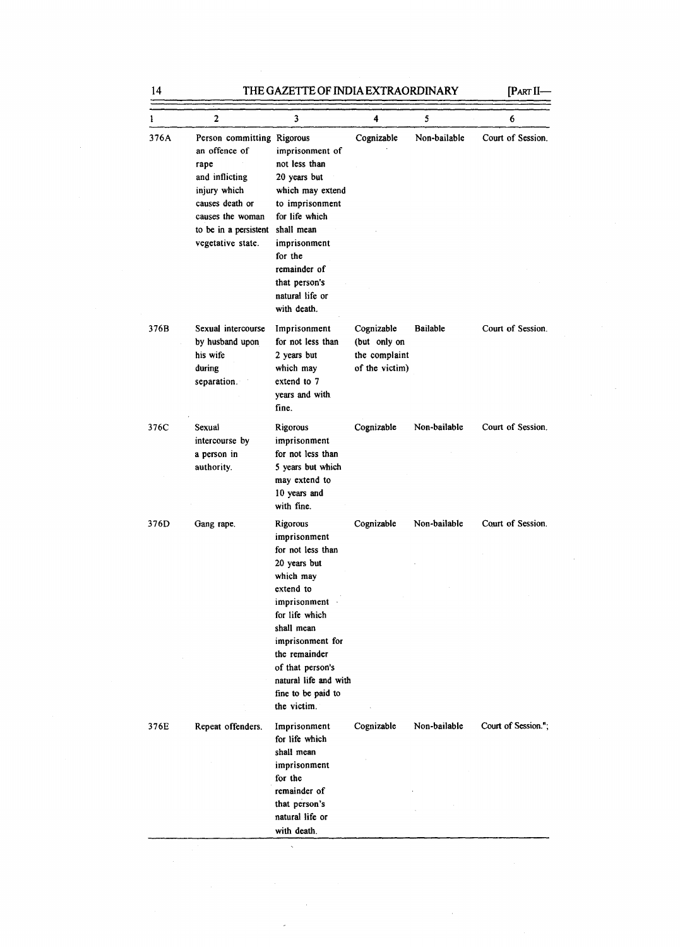14 THE GAZETTE OF INDIA EXTRAORDINARY [PART II-

 $\mathcal{L}$ 

| 1    | 2                                                                                                                                                                          | 3                                                                                                                                                                                                                                                              | 4                                                             | 5               | 6                   |
|------|----------------------------------------------------------------------------------------------------------------------------------------------------------------------------|----------------------------------------------------------------------------------------------------------------------------------------------------------------------------------------------------------------------------------------------------------------|---------------------------------------------------------------|-----------------|---------------------|
| 376A | Person committing Rigorous<br>an offence of<br>rape<br>and inflicting<br>injury which<br>causes death or<br>causes the woman<br>to be in a persistent<br>vegetative state. | imprisonment of<br>not less than<br>20 years but<br>which may extend<br>to imprisonment<br>for life which<br>shall mean<br>imprisonment<br>for the<br>remainder of<br>that person's<br>natural life or<br>with death.                                          | Cognizable                                                    | Non-bailable    | Court of Session.   |
| 376B | Sexual intercourse<br>by husband upon<br>his wife<br>during<br>separation.                                                                                                 | Imprisonment<br>for not less than<br>2 years but<br>which may<br>extend to 7<br>vears and with<br>fine.                                                                                                                                                        | Cognizable<br>(but only on<br>the complaint<br>of the victim) | <b>Bailable</b> | Court of Session.   |
| 376C | Sexual<br>intercourse by<br>a person in<br>authority.                                                                                                                      | Rigorous<br>imprisonment<br>for not less than<br>5 years but which<br>may extend to<br>10 years and<br>with fine.                                                                                                                                              | Cognizable                                                    | Non-bailable    | Court of Session.   |
| 376D | Gang rape.                                                                                                                                                                 | Rigorous<br>imprisonment<br>for not less than<br>20 years but<br>which may<br>extend to<br>imprisonment<br>for life which<br>shall mean<br>imprisonment for<br>the remainder<br>of that person's<br>natural life and with<br>fine to be paid to<br>the victim. | Cognizable                                                    | Non-bailable    | Court of Session.   |
| 376E | Repeat offenders.                                                                                                                                                          | Imprisonment<br>for life which<br>shall mean<br>imprisonment<br>for the<br>remainder of<br>that person's<br>natural life or<br>with death.                                                                                                                     | Cognizable                                                    | Non-bailable    | Court of Session.", |

 $\label{eq:2.1} \frac{1}{\sqrt{2\pi}}\int_{\mathbb{R}^3}\frac{1}{\sqrt{2\pi}}\int_{\mathbb{R}^3}\frac{1}{\sqrt{2\pi}}\int_{\mathbb{R}^3}\frac{1}{\sqrt{2\pi}}\int_{\mathbb{R}^3}\frac{1}{\sqrt{2\pi}}\frac{1}{\sqrt{2\pi}}\frac{1}{\sqrt{2\pi}}\frac{1}{\sqrt{2\pi}}\frac{1}{\sqrt{2\pi}}\frac{1}{\sqrt{2\pi}}\frac{1}{\sqrt{2\pi}}\frac{1}{\sqrt{2\pi}}\frac{1}{\sqrt{2\pi}}\frac{1}{\sqrt{2\pi$ 

 $\mathcal{A}^{\mathcal{A}}$ 

 $\overline{a}$ 

 $\hat{\beta}$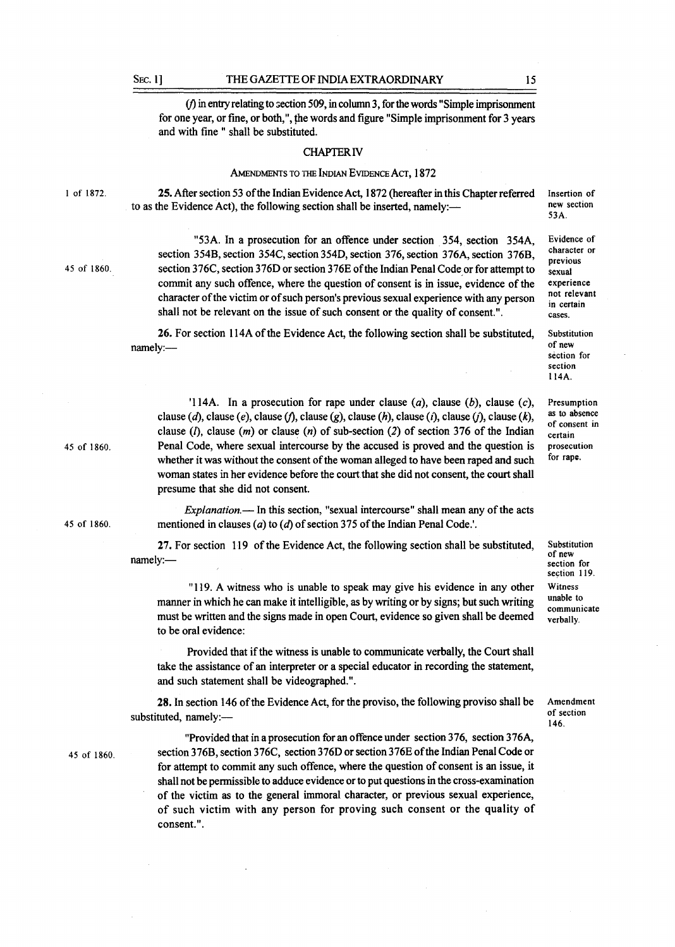$(f)$  in entry relating to section 509, in column 3, for the words "Simple imprisonment" for one year, or fme, or both,", lhe words and figure "Simple imprisonment for 3 years and with fine " shall be substituted.

### *CHAPfERN*

### AMENDMENTS TO THE INDIAN EVIDENCE ACT, 1872

I of 1872.

25. After section 53 of the Indian Evidence Act, 1872 (hereafter in this Chapter referred to as the Evidence Act), the following section shall be inserted, namely:—

45 of 1860.

"53A. In a prosecution for an offence under section 354, section 354A, section 354B, section 354C, section 3540, section 376, section 376A, section 376B, section 376C, section 376D or section 376E of the Indian Penal Code or for attempt to commit any such offence, where the question of consent is in issue, evidence of the character of the victim or of such person's previous sexual experience with any person shall not be relevant on the issue of such consent or the quality of consent.".

'114A. In a prosecution for rape under clause *(a),* clause *(b),* clause (c), clause (d), clause (e), clause (f), clause (g), clause (h), clause (i), clause (j), clause (k), clause (*I*), clause (*m*) or clause (*n*) of sub-section (2) of section 376 of the Indian Penal Code, where sexual intercourse by the accused is proved and the question is whether it was without the consent of the woman alleged to have been raped and such woman states in her evidence before the court that she did not consent, the court shall

26. For section 114A of the Evidence Act, the following section shall be substituted, namely:-

cases. Substitution of new section for section 114A.

Insertion of new section 53A.

Evidence of character or previous sexual experience not relevant in certain

Presumption as to absence of consent in certain prosecution for rape.

Substitution of new section for section 119. Witness unable to communicate verbally.

Amendment of section 146.

45 of 1860.

45 of 1860.

*Explanation.*— In this section, "sexual intercourse" shall mean any of the acts mentioned in clauses (a) to (d) of section 375 of the Indian Penal Code.'.

27. For section 119 of the Evidence Act, the following section shall be substituted, namely:-

presume that she did not consent.

"119. A witness who is unable to speak may give his evidence in any other manner in which he can make it intelligible, as by writing or by signs; but such writing must be written and the signs made in open Court, evidence so given shall be deemed to be oral evidence:

Provided that if the witness is unable to communicate verbally, the Court shall take the assistance of an interpreter or a special educator in recording the statement, and such statement shall be videographed.".

28. In section 146 of the Evidence Act, for the proviso, the following proviso shall be substituted, namely:-

45 of 1860.

"Provided that in a prosecution for an offence under section 376, section 376A, section 376B, section 376C, section 376D or section 376E of the Indian Penal Code or for attempt to commit any such offence, where the question of consent is an issue, it shall not be permissible to adduce evidence orto put questions in the cross-examination of the victim as to the general immoral character, or previous sexual experience, of such victim with any person for proving such consent or the quality of consent.".